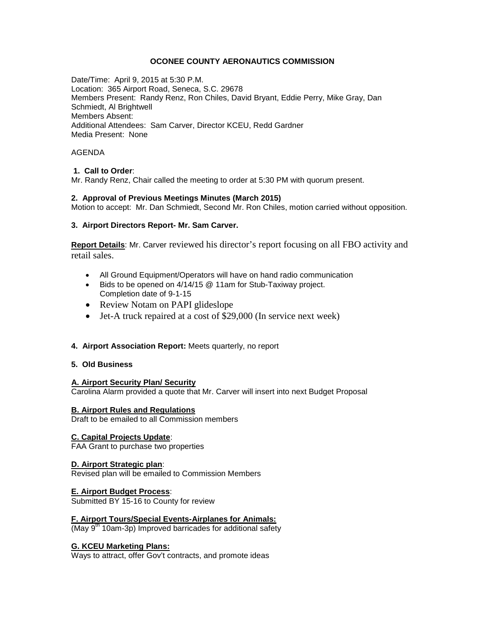#### **OCONEE COUNTY AERONAUTICS COMMISSION**

Date/Time: April 9, 2015 at 5:30 P.M. Location: 365 Airport Road, Seneca, S.C. 29678 Members Present: Randy Renz, Ron Chiles, David Bryant, Eddie Perry, Mike Gray, Dan Schmiedt, Al Brightwell Members Absent: Additional Attendees: Sam Carver, Director KCEU, Redd Gardner Media Present: None

#### AGENDA

#### **1. Call to Order**:

Mr. Randy Renz, Chair called the meeting to order at 5:30 PM with quorum present.

#### **2. Approval of Previous Meetings Minutes (March 2015)**

Motion to accept: Mr. Dan Schmiedt, Second Mr. Ron Chiles, motion carried without opposition.

#### **3. Airport Directors Report- Mr. Sam Carver.**

**Report Details**: Mr. Carver reviewed his director's report focusing on all FBO activity and retail sales.

- All Ground Equipment/Operators will have on hand radio communication
- Bids to be opened on 4/14/15 @ 11am for Stub-Taxiway project. Completion date of 9-1-15
- Review Notam on PAPI glideslope
- Jet-A truck repaired at a cost of \$29,000 (In service next week)
- **4. Airport Association Report:** Meets quarterly, no report

#### **5. Old Business**

#### **A. Airport Security Plan/ Security**

Carolina Alarm provided a quote that Mr. Carver will insert into next Budget Proposal

#### **B. Airport Rules and Regulations**

Draft to be emailed to all Commission members

#### **C. Capital Projects Update**:

FAA Grant to purchase two properties

#### **D. Airport Strategic plan**:

Revised plan will be emailed to Commission Members

### **E. Airport Budget Process**:

Submitted BY 15-16 to County for review

#### **F. Airport Tours/Special Events-Airplanes for Animals:**

 $(May 9<sup>th</sup> 10am-3p)$  Improved barricades for additional safety

### **G. KCEU Marketing Plans:**

Ways to attract, offer Gov't contracts, and promote ideas